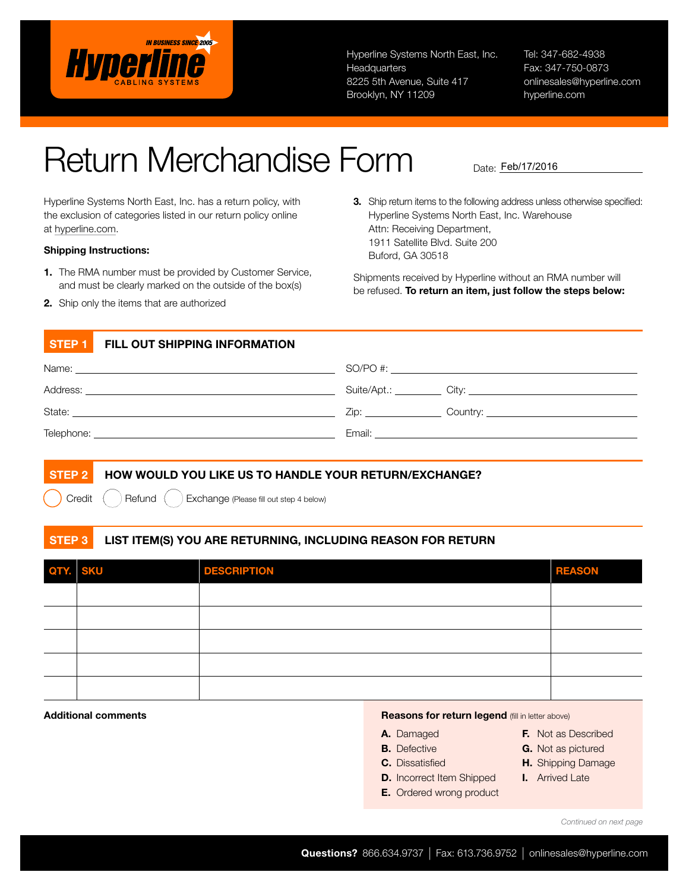

Hyperline Systems North East, Inc. **Headquarters** 8225 5th Avenue, Suite 417 Brooklyn, NY 11209

Tel: 347-682-4938 Fax: 347-750-0873 onlinesales@hyperline.com hyperline.com

# Return Merchandise Form

Hyperline Systems North East, Inc. has a return policy, with the exclusion of categories listed in our return policy online at hyperline.com.

### Shipping Instructions:

- 1. The RMA number must be provided by Customer Service, and must be clearly marked on the outside of the box(s)
- 2. Ship only the items that are authorized

3. Ship return items to the following address unless otherwise specified: Hyperline Systems North East, Inc. Warehouse Attn: Receiving Department, 1911 Satellite Blvd. Suite 200 Buford, GA 30518

Date: Feb/17/2016

Shipments received by Hyperline without an RMA number will be refused. To return an item, just follow the steps below:

## STEP 1 FILL OUT SHIPPING INFORMATION

| Name:                                                                     | $SO/PO \#$                                                                                                                                                                                                                     |
|---------------------------------------------------------------------------|--------------------------------------------------------------------------------------------------------------------------------------------------------------------------------------------------------------------------------|
| Address:<br><u> 1989 - Johann Stein, mars an deutscher Stein († 1958)</u> |                                                                                                                                                                                                                                |
| State:                                                                    | $Z$ ip: $\overline{z}$                                                                                                                                                                                                         |
| Telephone:                                                                | Email: Email: All and the state of the state of the state of the state of the state of the state of the state of the state of the state of the state of the state of the state of the state of the state of the state of the s |

# STEP 2 HOW WOULD YOU LIKE US TO HANDLE YOUR RETURN/EXCHANGE?

Credit  $\begin{pmatrix} \cdot & \cdot \end{pmatrix}$  Refund  $\begin{pmatrix} \cdot & \cdot \end{pmatrix}$  Exchange (Please fill out step 4 below)

# STEP 3 LIST ITEM(S) YOU ARE RETURNING, INCLUDING REASON FOR RETURN

| QTY. SKU | <b>DESCRIPTION</b> | <b>REASON</b> |
|----------|--------------------|---------------|
|          |                    |               |
|          |                    |               |
|          |                    |               |
|          |                    |               |
|          |                    |               |

### Additional comments **Additional comments Reasons for return legend** (fill in letter above)

- A. Damaged **B.** Defective
- F. Not as Described G. Not as pictured
- C. Dissatisfied
- H. Shipping Damage
- I. Arrived Late
- D. Incorrect Item Shipped E. Ordered wrong product

*Continued on next page*